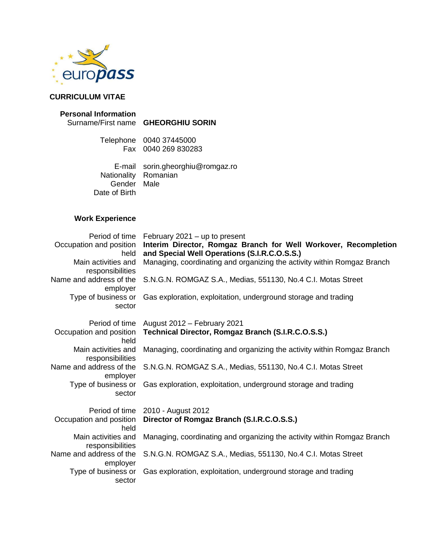

# **CURRICULUM VITAE**

#### **Personal Information**

### Surname/First name **GHEORGHIU SORIN**

Telephone 0040 37445000 Fax 0040 269 830283

E-mail sorin.gheorghiu@romgaz.ro Nationality Romanian Gender Male Date of Birth

## **Work Experience**

| Period of time                          | February $2021 - up$ to present                                                                                 |
|-----------------------------------------|-----------------------------------------------------------------------------------------------------------------|
| Occupation and position<br>held         | Interim Director, Romgaz Branch for Well Workover, Recompletion<br>and Special Well Operations (S.I.R.C.O.S.S.) |
| Main activities and<br>responsibilities | Managing, coordinating and organizing the activity within Romgaz Branch                                         |
| Name and address of the<br>employer     | S.N.G.N. ROMGAZ S.A., Medias, 551130, No.4 C.I. Motas Street                                                    |
| Type of business or<br>sector           | Gas exploration, exploitation, underground storage and trading                                                  |
| Period of time                          | August 2012 - February 2021                                                                                     |
| Occupation and position<br>held         | Technical Director, Romgaz Branch (S.I.R.C.O.S.S.)                                                              |
| Main activities and<br>responsibilities | Managing, coordinating and organizing the activity within Romgaz Branch                                         |
| Name and address of the<br>employer     | S.N.G.N. ROMGAZ S.A., Medias, 551130, No.4 C.I. Motas Street                                                    |
| Type of business or<br>sector           | Gas exploration, exploitation, underground storage and trading                                                  |
| Period of time                          | 2010 - August 2012                                                                                              |
| Occupation and position<br>held         | Director of Romgaz Branch (S.I.R.C.O.S.S.)                                                                      |
| Main activities and<br>responsibilities | Managing, coordinating and organizing the activity within Romgaz Branch                                         |
| Name and address of the<br>employer     | S.N.G.N. ROMGAZ S.A., Medias, 551130, No.4 C.I. Motas Street                                                    |
| Type of business or<br>sector           | Gas exploration, exploitation, underground storage and trading                                                  |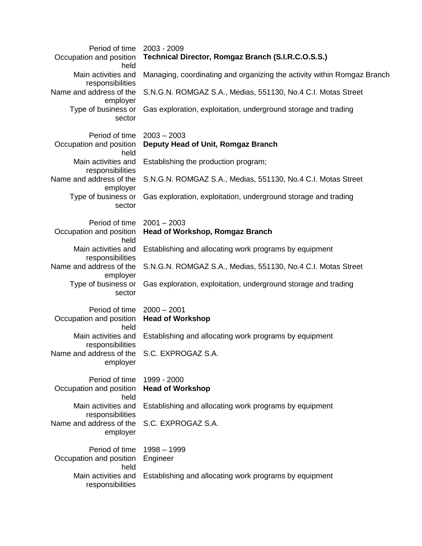| Period of time<br>Occupation and position<br>held      | 2003 - 2009<br>Technical Director, Romgaz Branch (S.I.R.C.O.S.S.)       |
|--------------------------------------------------------|-------------------------------------------------------------------------|
| Main activities and<br>responsibilities                | Managing, coordinating and organizing the activity within Romgaz Branch |
| Name and address of the<br>employer                    | S.N.G.N. ROMGAZ S.A., Medias, 551130, No.4 C.I. Motas Street            |
| Type of business or<br>sector                          | Gas exploration, exploitation, underground storage and trading          |
| Period of time<br>Occupation and position<br>held      | $2003 - 2003$<br>Deputy Head of Unit, Romgaz Branch                     |
| Main activities and<br>responsibilities                | Establishing the production program;                                    |
| Name and address of the<br>employer                    | S.N.G.N. ROMGAZ S.A., Medias, 551130, No.4 C.I. Motas Street            |
| Type of business or<br>sector                          | Gas exploration, exploitation, underground storage and trading          |
| Period of time<br>Occupation and position<br>held      | $2001 - 2003$<br><b>Head of Workshop, Romgaz Branch</b>                 |
| Main activities and<br>responsibilities                | Establishing and allocating work programs by equipment                  |
| Name and address of the<br>employer                    | S.N.G.N. ROMGAZ S.A., Medias, 551130, No.4 C.I. Motas Street            |
| Type of business or<br>sector                          | Gas exploration, exploitation, underground storage and trading          |
| Period of time<br>Occupation and position<br>held      | $2000 - 2001$<br><b>Head of Workshop</b>                                |
| Main activities and<br>responsibilities                | Establishing and allocating work programs by equipment                  |
| Name and address of the S.C. EXPROGAZ S.A.<br>employer |                                                                         |
| Period of time<br>Occupation and position<br>held      | 1999 - 2000<br><b>Head of Workshop</b>                                  |
| Main activities and<br>responsibilities                | Establishing and allocating work programs by equipment                  |
| Name and address of the<br>employer                    | S.C. EXPROGAZ S.A.                                                      |
| Period of time<br>Occupation and position              | $1998 - 1999$<br>Engineer                                               |
| held<br>Main activities and<br>responsibilities        | Establishing and allocating work programs by equipment                  |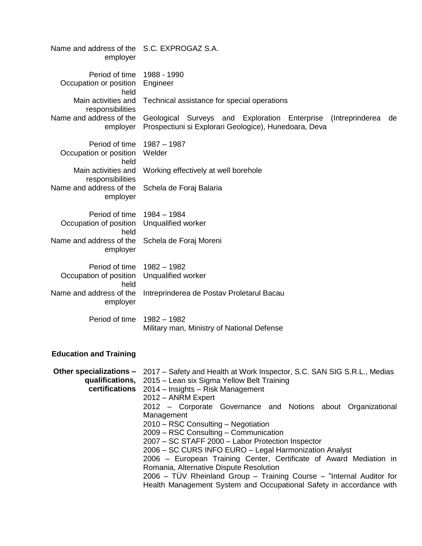| Name and address of the S.C. EXPROGAZ S.A.<br>employer       |                                                                                                                                                                                                                                                                                                                                                                                                                                                                                                                                                                                                                                                        |
|--------------------------------------------------------------|--------------------------------------------------------------------------------------------------------------------------------------------------------------------------------------------------------------------------------------------------------------------------------------------------------------------------------------------------------------------------------------------------------------------------------------------------------------------------------------------------------------------------------------------------------------------------------------------------------------------------------------------------------|
| Period of time<br>Occupation or position<br>held             | 1988 - 1990<br>Engineer                                                                                                                                                                                                                                                                                                                                                                                                                                                                                                                                                                                                                                |
| Main activities and<br>responsibilities                      | Technical assistance for special operations                                                                                                                                                                                                                                                                                                                                                                                                                                                                                                                                                                                                            |
| Name and address of the<br>employer                          | Geological Surveys and Exploration Enterprise<br>(Intreprinderea<br>de<br>Prospectiuni si Explorari Geologice), Hunedoara, Deva                                                                                                                                                                                                                                                                                                                                                                                                                                                                                                                        |
| Period of time<br>Occupation or position<br>held             | $1987 - 1987$<br>Welder                                                                                                                                                                                                                                                                                                                                                                                                                                                                                                                                                                                                                                |
| Main activities and<br>responsibilities                      | Working effectively at well borehole                                                                                                                                                                                                                                                                                                                                                                                                                                                                                                                                                                                                                   |
| Name and address of the<br>employer                          | Schela de Foraj Balaria                                                                                                                                                                                                                                                                                                                                                                                                                                                                                                                                                                                                                                |
| Period of time<br>Occupation of position                     | $1984 - 1984$<br>Unqualified worker                                                                                                                                                                                                                                                                                                                                                                                                                                                                                                                                                                                                                    |
| held<br>Name and address of the<br>employer                  | Schela de Foraj Moreni                                                                                                                                                                                                                                                                                                                                                                                                                                                                                                                                                                                                                                 |
| Period of time<br>Occupation of position<br>held             | $1982 - 1982$<br>Unqualified worker                                                                                                                                                                                                                                                                                                                                                                                                                                                                                                                                                                                                                    |
| Name and address of the<br>employer                          | Intreprinderea de Postav Proletarul Bacau                                                                                                                                                                                                                                                                                                                                                                                                                                                                                                                                                                                                              |
| Period of time                                               | $1982 - 1982$<br>Military man, Ministry of National Defense                                                                                                                                                                                                                                                                                                                                                                                                                                                                                                                                                                                            |
| <b>Education and Training</b>                                |                                                                                                                                                                                                                                                                                                                                                                                                                                                                                                                                                                                                                                                        |
| Other specializations -<br>qualifications,<br>certifications | 2017 – Safety and Health at Work Inspector, S.C. SAN SIG S.R.L., Medias<br>2015 – Lean six Sigma Yellow Belt Training<br>2014 – Insights – Risk Management<br>2012 - ANRM Expert<br>2012 - Corporate Governance and Notions about Organizational<br>Management<br>2010 - RSC Consulting - Negotiation<br>2009 – RSC Consulting – Communication<br>2007 - SC STAFF 2000 - Labor Protection Inspector<br>2006 - SC CURS INFO EURO - Legal Harmonization Analyst<br>2006 - European Training Center, Certificate of Award Mediation in<br>Romania, Alternative Dispute Resolution<br>2006 – TÜV Rheinland Group – Training Course – "Internal Auditor for |

2006 – TÜV Rheinland Group – Training Course – "Internal Auditor for Health Management System and Occupational Safety in accordance with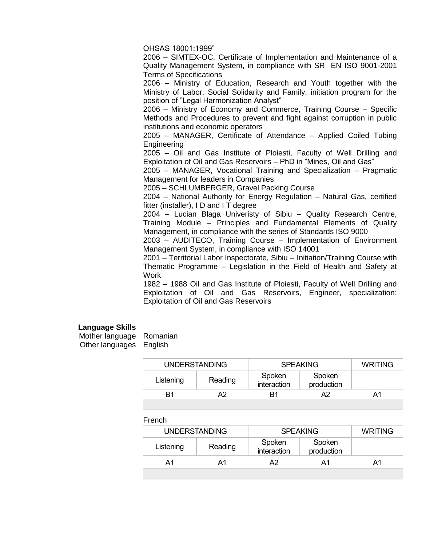OHSAS 18001:1999"

2006 – SIMTEX-OC, Certificate of Implementation and Maintenance of a Quality Management System, in compliance with SR EN ISO 9001-2001 Terms of Specifications

2006 – Ministry of Education, Research and Youth together with the Ministry of Labor, Social Solidarity and Family, initiation program for the position of "Legal Harmonization Analyst"

2006 – Ministry of Economy and Commerce, Training Course – Specific Methods and Procedures to prevent and fight against corruption in public institutions and economic operators

2005 – MANAGER, Certificate of Attendance – Applied Coiled Tubing Engineering

2005 – Oil and Gas Institute of Ploiesti, Faculty of Well Drilling and Exploitation of Oil and Gas Reservoirs – PhD in "Mines, Oil and Gas"

2005 – MANAGER, Vocational Training and Specialization – Pragmatic Management for leaders in Companies

2005 – SCHLUMBERGER, Gravel Packing Course

2004 – National Authority for Energy Regulation – Natural Gas, certified fitter (installer), I D and I T degree

2004 – Lucian Blaga Univeristy of Sibiu – Quality Research Centre, Training Module – Principles and Fundamental Elements of Quality Management, in compliance with the series of Standards ISO 9000

2003 – AUDITECO, Training Course – Implementation of Environment Management System, in compliance with ISO 14001

2001 – Territorial Labor Inspectorate, Sibiu – Initiation/Training Course with Thematic Programme – Legislation in the Field of Health and Safety at Work

1982 – 1988 Oil and Gas Institute of Ploiesti, Faculty of Well Drilling and Exploitation of Oil and Gas Reservoirs, Engineer, specialization: Exploitation of Oil and Gas Reservoirs

#### **Language Skills**

| Mother language | Romanian |
|-----------------|----------|
| Other languages | English  |

| <b>UNDERSTANDING</b> |         | <b>SPEAKING</b>       |                      | <b>WRITING</b> |
|----------------------|---------|-----------------------|----------------------|----------------|
| Listening            | Reading | Spoken<br>interaction | Spoken<br>production |                |
| R1                   |         | R1                    | Δ2                   | Δ1             |
|                      |         |                       |                      |                |

French

| <b>UNDERSTANDING</b> |         | <b>SPEAKING</b>       |                      | <b>WRITING</b> |
|----------------------|---------|-----------------------|----------------------|----------------|
| Listening            | Reading | Spoken<br>interaction | Spoken<br>production |                |
| Δ1                   |         | Δ2                    | Α1                   | Δ1             |
|                      |         |                       |                      |                |